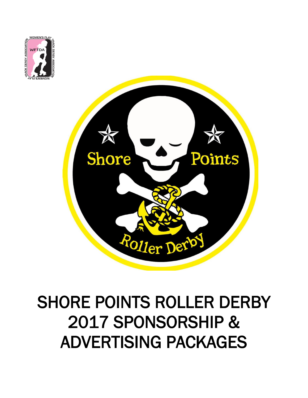



# SHORE POINTS ROLLER DERBY 2017 SPONSORSHIP & ADVERTISING PACKAGES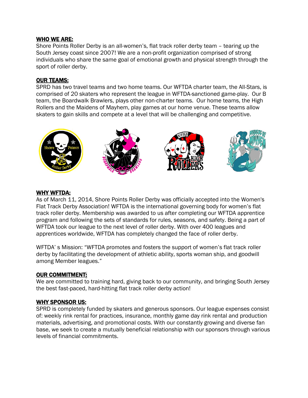#### WHO WE ARE:

Shore Points Roller Derby is an all-women's, flat track roller derby team – tearing up the South Jersey coast since 2007! We are a non-profit organization comprised of strong individuals who share the same goal of emotional growth and physical strength through the sport of roller derby.

#### OUR TEAMS:

SPRD has two travel teams and two home teams. Our WFTDA charter team, the All-Stars, is comprised of 20 skaters who represent the league in WFTDA-sanctioned game-play. Our B team, the Boardwalk Brawlers, plays other non-charter teams. Our home teams, the High Rollers and the Maidens of Mayhem, play games at our home venue. These teams allow skaters to gain skills and compete at a level that will be challenging and competitive.



#### WHY WFTDA:

As of March 11, 2014, Shore Points Roller Derby was officially accepted into the Women's Flat Track Derby Association! WFTDA is the international governing body for women's flat track roller derby. Membership was awarded to us after completing our WFTDA apprentice program and following the sets of standards for rules, seasons, and safety. Being a part of WFTDA took our league to the next level of roller derby. With over 400 leagues and apprentices worldwide, WFTDA has completely changed the face of roller derby.

WFTDA' s Mission: "WFTDA promotes and fosters the support of women's flat track roller derby by facilitating the development of athletic ability, sports woman ship, and goodwill among Member leagues."

#### OUR COMMITMENT:

We are committed to training hard, giving back to our community, and bringing South Jersey the best fast-paced, hard-hitting flat track roller derby action!

#### WHY SPONSOR US:

SPRD is completely funded by skaters and generous sponsors. Our league expenses consist of: weekly rink rental for practices, insurance, monthly game day rink rental and production materials, advertising, and promotional costs. With our constantly growing and diverse fan base, we seek to create a mutually beneficial relationship with our sponsors through various levels of financial commitments.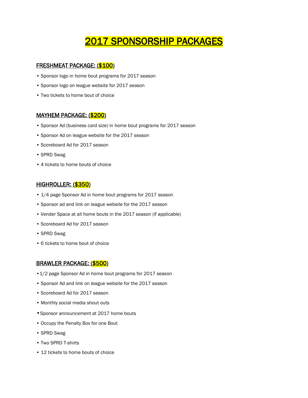# 2017 SPONSORSHIP PACKAGES

#### FRESHMEAT PACKAGE: (\$100)

- Sponsor logo in home bout programs for 2017 season
- Sponsor logo on league website for 2017 season
- Two tickets to home bout of choice

#### MAYHEM PACKAGE: (\$200)

- Sponsor Ad (business card size) in home bout programs for 2017 season
- Sponsor Ad on league website for the 2017 season
- Scoreboard Ad for 2017 season
- SPRD Swag
- 4 tickets to home bouts of choice

#### HIGHROLLER: (\$350)

- 1/4 page Sponsor Ad in home bout programs for 2017 season
- Sponsor ad and link on league website for the 2017 season
- Vender Space at all home bouts in the 2017 season (if applicable)
- Scoreboard Ad for 2017 season
- SPRD Swag
- 6 tickets to home bout of choice

#### BRAWLER PACKAGE: (\$500)

- •1/2 page Sponsor Ad in home bout programs for 2017 season
- Sponsor Ad and link on league website for the 2017 season
- Scoreboard Ad for 2017 season
- Monthly social media shout outs
- •Sponsor announcement at 2017 home bouts
- Occupy the Penalty Box for one Bout
- SPRD Swag
- Two SPRD T-shirts
- 12 tickets to home bouts of choice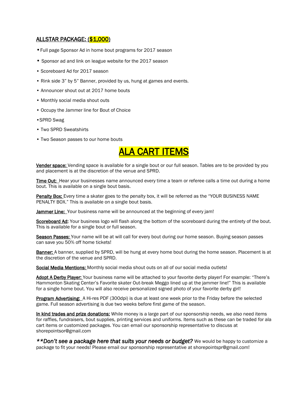#### ALLSTAR PACKAGE: (\$1,000)

- •Full page Sponsor Ad in home bout programs for 2017 season
- Sponsor ad and link on league website for the 2017 season
- Scoreboard Ad for 2017 season
- Rink side 3" by 5" Banner, provided by us, hung at games and events.
- Announcer shout out at 2017 home bouts
- Monthly social media shout outs
- Occupy the Jammer line for Bout of Choice
- •SPRD Swag
- Two SPRD Sweatshirts
- Two Season passes to our home bouts

## ALA CART ITEMS

Vender space: Vending space is available for a single bout or our full season. Tables are to be provided by you and placement is at the discretion of the venue and SPRD.

Time Out: Hear your businesses name announced every time a team or referee calls a time out during a home bout. This is available on a single bout basis.

Penalty Box: Every time a skater goes to the penalty box, it will be referred as the "YOUR BUSINESS NAME PENALTY BOX." This is available on a single bout basis.

Jammer Line: Your business name will be announced at the beginning of every jam!

Scoreboard Ad: Your business logo will flash along the bottom of the scoreboard during the entirety of the bout. This is available for a single bout or full season.

Season Passes: Your name will be at will call for every bout during our home season. Buying season passes can save you 50% off home tickets!

Banner: A banner, supplied by SPRD, will be hung at every home bout during the home season. Placement is at the discretion of the venue and SPRD.

Social Media Mentions: Monthly social media shout outs on all of our social media outlets!

Adopt A Derby Player: Your business name will be attached to your favorite derby player! For example: "There's Hammonton Skating Center's Favorite skater Out-break Meggo lined up at the jammer line!" This is available for a single home bout. You will also receive personalized signed photo of your favorite derby girl!

Program Advertising: A Hi-res PDF (300dpi) is due at least one week prior to the Friday before the selected game. Full season advertising is due two weeks before first game of the season.

In kind trades and prize donations: While money is a large part of our sponsorship needs, we also need items for raffles, fundraisers, bout supplies, printing services and uniforms. Items such as these can be traded for ala cart items or customized packages. You can email our sponsorship representative to discuss at shorepointsor@gmail.com

*\*\*Don't see a package here that suits your needs or budget?* We would be happy to customize a package to fit your needs! Please email our sponsorship representative at shorepointspr@gmail.com!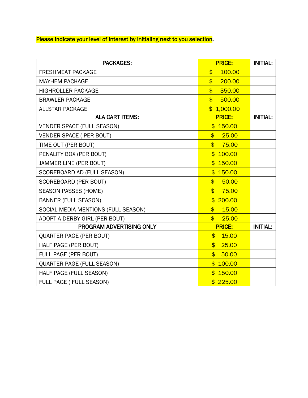Please indicate your level of interest by initialing next to you selection.

| <b>PACKAGES:</b>                    | <b>PRICE:</b>                     | <b>INITIAL:</b> |
|-------------------------------------|-----------------------------------|-----------------|
| <b>FRESHMEAT PACKAGE</b>            | 100.00<br>$\overline{\mathbf{S}}$ |                 |
| <b>MAYHEM PACKAGE</b>               | $$^{\circ}$<br>200.00             |                 |
| <b>HIGHROLLER PACKAGE</b>           | $\overline{\mathbb{S}}$<br>350.00 |                 |
| <b>BRAWLER PACKAGE</b>              | $\overline{\mathbb{S}}$<br>500.00 |                 |
| <b>ALLSTAR PACKAGE</b>              | \$1,000.00                        |                 |
| <b>ALA CART ITEMS:</b>              | <b>PRICE:</b>                     | <b>INITIAL:</b> |
| <b>VENDER SPACE (FULL SEASON)</b>   | \$150.00                          |                 |
| VENDER SPACE ( PER BOUT)            | \$<br>25.00                       |                 |
| TIME OUT (PER BOUT)                 | \$<br>75.00                       |                 |
| PENALITY BOX (PER BOUT)             | \$100.00                          |                 |
| JAMMER LINE (PER BOUT)              | \$150.00                          |                 |
| SCOREBOARD AD (FULL SEASON)         | \$150.00                          |                 |
| SCOREBOARD (PER BOUT)               | $\overline{\mathbb{S}}$<br>50.00  |                 |
| <b>SEASON PASSES (HOME)</b>         | \$<br>75.00                       |                 |
| <b>BANNER (FULL SEASON)</b>         | \$200.00                          |                 |
| SOCIAL MEDIA MENTIONS (FULL SEASON) | $\overline{\mathbb{S}}$<br>15.00  |                 |
| ADOPT A DERBY GIRL (PER BOUT)       | 25,00<br>$$^{\circ}$              |                 |
| PROGRAM ADVERTISING ONLY            | <b>PRICE:</b>                     | <b>INITIAL:</b> |
| <b>QUARTER PAGE (PER BOUT)</b>      | $\mathsf{\$}$<br>15.00            |                 |
| HALF PAGE (PER BOUT)                | \$25.00                           |                 |
| FULL PAGE (PER BOUT)                | \$<br>50.00                       |                 |
| <b>QUARTER PAGE (FULL SEASON)</b>   | \$100.00                          |                 |
| HALF PAGE (FULL SEASON)             | \$150.00                          |                 |
| FULL PAGE ( FULL SEASON)            | \$225.00                          |                 |